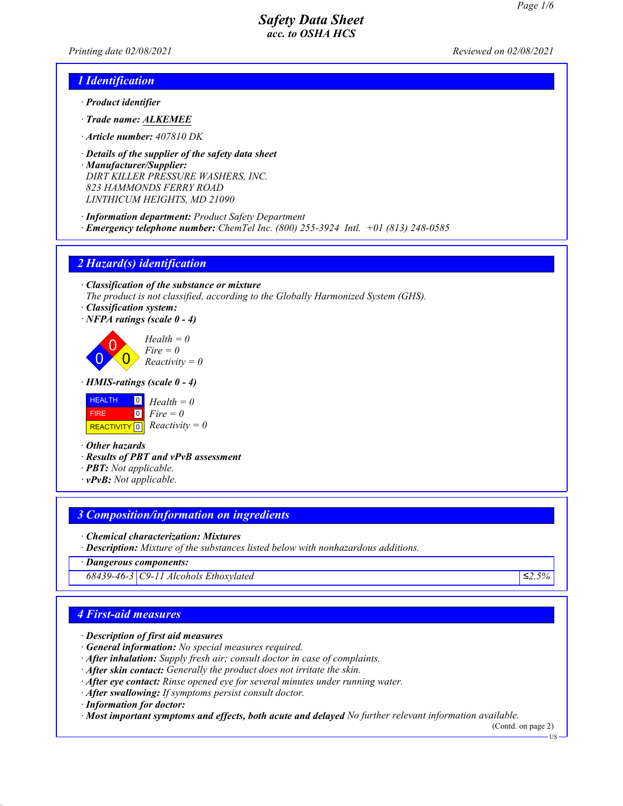*Printing date 02/08/2021 Reviewed on 02/08/2021*

## *1 Identification*

- *· Product identifier*
- *· Trade name: ALKEMEE*
- *· Article number: 407810 DK*
- *· Details of the supplier of the safety data sheet*
- *· Manufacturer/Supplier: DIRT KILLER PRESSURE WASHERS, INC. 823 HAMMONDS FERRY ROAD LINTHICUM HEIGHTS, MD 21090*
- *· Information department: Product Safety Department · Emergency telephone number: ChemTel Inc. (800) 255-3924 Intl. +01 (813) 248-0585*

### *2 Hazard(s) identification*

*· Classification of the substance or mixture The product is not classified, according to the Globally Harmonized System (GHS).*

- *· Classification system:*
- *· NFPA ratings (scale 0 4)*



*· HMIS-ratings (scale 0 - 4)*



*· Other hazards*

- *· Results of PBT and vPvB assessment*
- *· PBT: Not applicable.*
- *· vPvB: Not applicable.*

## *3 Composition/information on ingredients*

- *· Chemical characterization: Mixtures*
- *· Description: Mixture of the substances listed below with nonhazardous additions.*

*· Dangerous components:*

*68439-46-3 C9-11 Alcohols Ethoxylated ≤2.5%*

## *4 First-aid measures*

- *· Description of first aid measures*
- *· General information: No special measures required.*
- *· After inhalation: Supply fresh air; consult doctor in case of complaints.*
- *· After skin contact: Generally the product does not irritate the skin.*
- *· After eye contact: Rinse opened eye for several minutes under running water.*
- *· After swallowing: If symptoms persist consult doctor.*

*· Information for doctor:*

*· Most important symptoms and effects, both acute and delayed No further relevant information available.*

(Contd. on page 2) US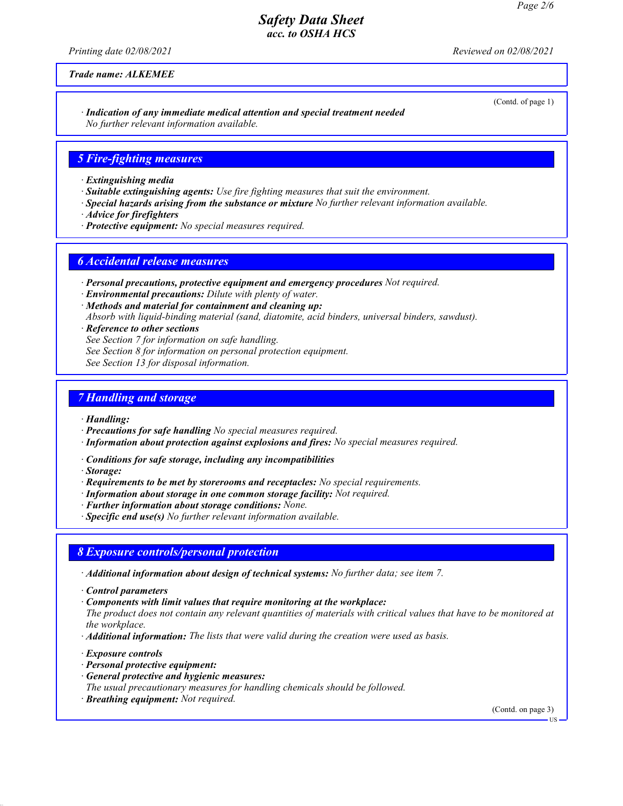(Contd. of page 1)

## *Safety Data Sheet acc. to OSHA HCS*

*Printing date 02/08/2021 Reviewed on 02/08/2021*

*Trade name: ALKEMEE*

*· Indication of any immediate medical attention and special treatment needed No further relevant information available.*

### *5 Fire-fighting measures*

- *· Extinguishing media*
- *· Suitable extinguishing agents: Use fire fighting measures that suit the environment.*
- *· Special hazards arising from the substance or mixture No further relevant information available.*
- *· Advice for firefighters*
- *· Protective equipment: No special measures required.*

### *6 Accidental release measures*

- *· Personal precautions, protective equipment and emergency procedures Not required.*
- *· Environmental precautions: Dilute with plenty of water.*
- *· Methods and material for containment and cleaning up: Absorb with liquid-binding material (sand, diatomite, acid binders, universal binders, sawdust).*
- *· Reference to other sections*
- *See Section 7 for information on safe handling.*
- *See Section 8 for information on personal protection equipment.*
- *See Section 13 for disposal information.*

## *7 Handling and storage*

- *· Handling:*
- *· Precautions for safe handling No special measures required.*
- *· Information about protection against explosions and fires: No special measures required.*
- *· Conditions for safe storage, including any incompatibilities*
- *· Storage:*
- *· Requirements to be met by storerooms and receptacles: No special requirements.*
- *· Information about storage in one common storage facility: Not required.*
- *· Further information about storage conditions: None.*
- *· Specific end use(s) No further relevant information available.*

### *8 Exposure controls/personal protection*

- *· Additional information about design of technical systems: No further data; see item 7.*
- *· Control parameters*
- *· Components with limit values that require monitoring at the workplace:*
- *The product does not contain any relevant quantities of materials with critical values that have to be monitored at the workplace.*
- *· Additional information: The lists that were valid during the creation were used as basis.*
- *· Exposure controls*
- *· Personal protective equipment:*
- *· General protective and hygienic measures:*
- *The usual precautionary measures for handling chemicals should be followed.*
- *· Breathing equipment: Not required.*

(Contd. on page 3)

US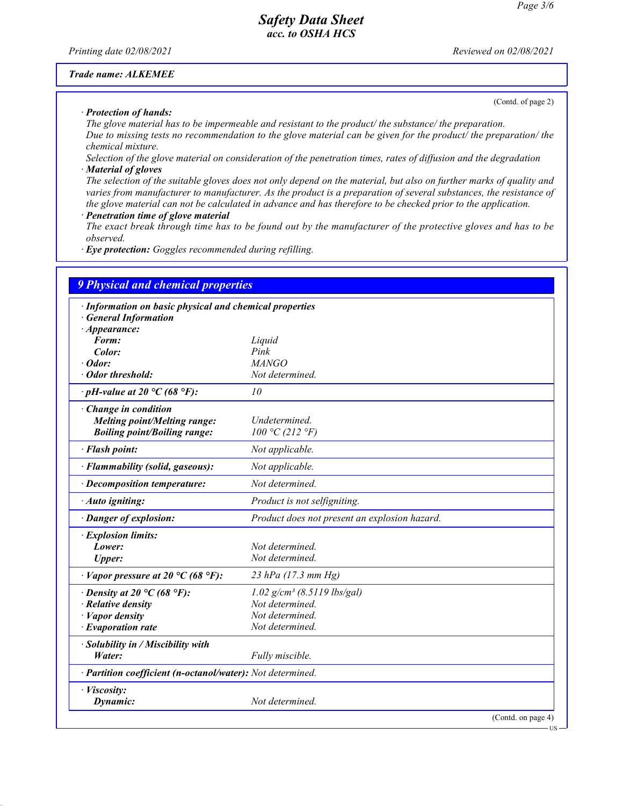(Contd. of page 2)

# *Safety Data Sheet acc. to OSHA HCS*

*Printing date 02/08/2021 Reviewed on 02/08/2021*

### *Trade name: ALKEMEE*

*· Protection of hands:*

*The glove material has to be impermeable and resistant to the product/ the substance/ the preparation. Due to missing tests no recommendation to the glove material can be given for the product/ the preparation/ the chemical mixture.*

*Selection of the glove material on consideration of the penetration times, rates of diffusion and the degradation · Material of gloves*

*The selection of the suitable gloves does not only depend on the material, but also on further marks of quality and varies from manufacturer to manufacturer. As the product is a preparation of several substances, the resistance of the glove material can not be calculated in advance and has therefore to be checked prior to the application.*

#### *· Penetration time of glove material*

*The exact break through time has to be found out by the manufacturer of the protective gloves and has to be observed.*

*· Eye protection: Goggles recommended during refilling.*

| <b>9 Physical and chemical properties</b>                  |                                               |
|------------------------------------------------------------|-----------------------------------------------|
| · Information on basic physical and chemical properties    |                                               |
| <b>General Information</b>                                 |                                               |
| $\cdot$ Appearance:                                        |                                               |
| Form:                                                      | Liquid                                        |
| Color:                                                     | Pink                                          |
| $\cdot$ Odor:                                              | <b>MANGO</b>                                  |
| · Odor threshold:                                          | Not determined.                               |
| $\cdot$ pH-value at 20 °C (68 °F):                         | 10                                            |
| Change in condition                                        |                                               |
| <b>Melting point/Melting range:</b>                        | Undetermined.                                 |
| <b>Boiling point/Boiling range:</b>                        | 100 °C (212 °F)                               |
| · Flash point:                                             | Not applicable.                               |
| · Flammability (solid, gaseous):                           | Not applicable.                               |
| · Decomposition temperature:                               | Not determined.                               |
| · Auto igniting:                                           | Product is not selfigniting.                  |
| · Danger of explosion:                                     | Product does not present an explosion hazard. |
| · Explosion limits:                                        |                                               |
| Lower:                                                     | Not determined.                               |
| <b>Upper:</b>                                              | Not determined.                               |
| $\cdot$ Vapor pressure at 20 °C (68 °F):                   | 23 hPa (17.3 mm Hg)                           |
| $\cdot$ Density at 20 °C (68 °F):                          | $1.02$ g/cm <sup>3</sup> (8.5119 lbs/gal)     |
| $\cdot$ Relative density                                   | Not determined.                               |
| $\cdot$ <i>Vapor density</i>                               | Not determined.                               |
| $\cdot$ Evaporation rate                                   | Not determined.                               |
| · Solubility in / Miscibility with                         |                                               |
| Water:                                                     | Fully miscible.                               |
| · Partition coefficient (n-octanol/water): Not determined. |                                               |
| · Viscosity:                                               |                                               |
| Dynamic:                                                   | Not determined.                               |
|                                                            | (Contd. on page 4)                            |

US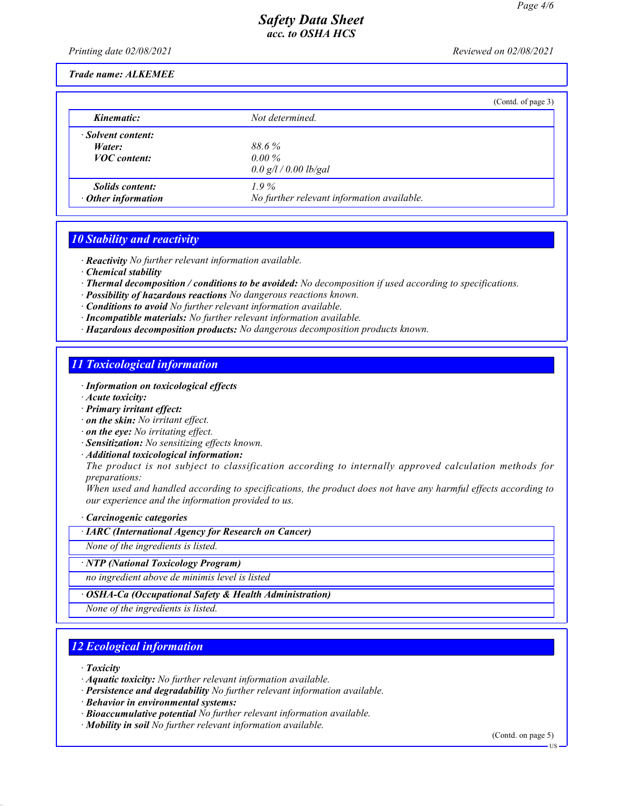*Printing date 02/08/2021 Reviewed on 02/08/2021*

### *Trade name: ALKEMEE*

|                           | (Contd. of page 3)                         |  |
|---------------------------|--------------------------------------------|--|
| Kinematic:                | Not determined.                            |  |
| · Solvent content:        |                                            |  |
| Water:                    | 88.6%                                      |  |
| <b>VOC</b> content:       | $0.00\%$                                   |  |
|                           | 0.0 g/l / 0.00 lb/gal                      |  |
| <i>Solids content:</i>    | $1.9\%$                                    |  |
| $\cdot$ Other information | No further relevant information available. |  |

# *10 Stability and reactivity*

*· Reactivity No further relevant information available.*

- *· Chemical stability*
- *· Thermal decomposition / conditions to be avoided: No decomposition if used according to specifications.*
- *· Possibility of hazardous reactions No dangerous reactions known.*
- *· Conditions to avoid No further relevant information available.*
- *· Incompatible materials: No further relevant information available.*
- *· Hazardous decomposition products: No dangerous decomposition products known.*

# *11 Toxicological information*

- *· Information on toxicological effects*
- *· Acute toxicity:*
- *· Primary irritant effect:*
- *· on the skin: No irritant effect.*
- *· on the eye: No irritating effect.*
- *· Sensitization: No sensitizing effects known.*
- *· Additional toxicological information:*

*The product is not subject to classification according to internally approved calculation methods for preparations:*

*When used and handled according to specifications, the product does not have any harmful effects according to our experience and the information provided to us.*

*· Carcinogenic categories*

*· IARC (International Agency for Research on Cancer)*

*None of the ingredients is listed.*

### *· NTP (National Toxicology Program)*

*no ingredient above de minimis level is listed*

*· OSHA-Ca (Occupational Safety & Health Administration)*

*None of the ingredients is listed.*

# *12 Ecological information*

*· Toxicity*

- *· Aquatic toxicity: No further relevant information available.*
- *· Persistence and degradability No further relevant information available.*
- *· Behavior in environmental systems:*
- *· Bioaccumulative potential No further relevant information available.*
- *· Mobility in soil No further relevant information available.*

(Contd. on page 5)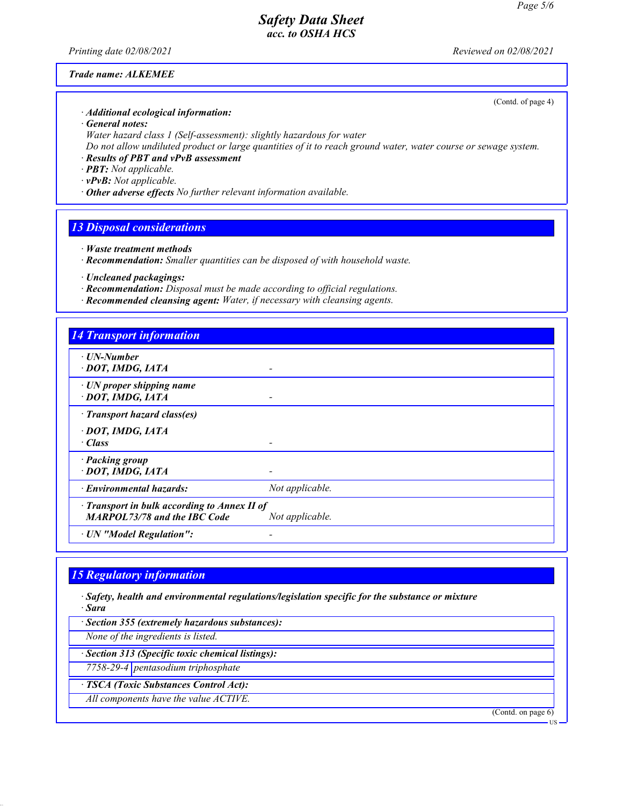*Printing date 02/08/2021 Reviewed on 02/08/2021*

(Contd. of page 4)

### *Trade name: ALKEMEE*

*· Additional ecological information:*

*· General notes:*

*Water hazard class 1 (Self-assessment): slightly hazardous for water*

*Do not allow undiluted product or large quantities of it to reach ground water, water course or sewage system.*

*· Results of PBT and vPvB assessment*

*· PBT: Not applicable.*

*· vPvB: Not applicable.*

*· Other adverse effects No further relevant information available.*

## *13 Disposal considerations*

- *· Waste treatment methods*
- *· Recommendation: Smaller quantities can be disposed of with household waste.*
- *· Uncleaned packagings:*
- *· Recommendation: Disposal must be made according to official regulations.*
- *· Recommended cleansing agent: Water, if necessary with cleansing agents.*

| <b>14 Transport information</b>                                                           |                 |
|-------------------------------------------------------------------------------------------|-----------------|
| $\cdot$ UN-Number<br>DOT, IMDG, IATA                                                      | ۰               |
| $\cdot$ UN proper shipping name<br>· DOT, IMDG, IATA                                      |                 |
| · Transport hazard class(es)                                                              |                 |
| · DOT, IMDG, IATA<br>· Class                                                              |                 |
| · Packing group<br>· DOT, IMDG, IATA                                                      |                 |
| · Environmental hazards:                                                                  | Not applicable. |
| $\cdot$ Transport in bulk according to Annex II of<br><b>MARPOL73/78 and the IBC Code</b> | Not applicable. |
| · UN "Model Regulation":                                                                  |                 |

## *15 Regulatory information*

*· Safety, health and environmental regulations/legislation specific for the substance or mixture · Sara*

*· Section 355 (extremely hazardous substances):*

*None of the ingredients is listed.*

*· Section 313 (Specific toxic chemical listings):*

*7758-29-4 pentasodium triphosphate*

*· TSCA (Toxic Substances Control Act):*

*All components have the value ACTIVE.*

(Contd. on page 6)

LIC